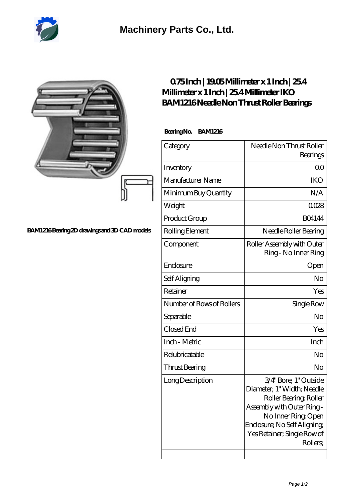

|                                              | 075Inch   1905Millimeter x 1 Inch   254<br>Millimeter x 1 Inch   254 Millimeter IKO<br>BAM1216Needle Non Thrust Roller Bearings |                                                                                                                                                                                                             |
|----------------------------------------------|---------------------------------------------------------------------------------------------------------------------------------|-------------------------------------------------------------------------------------------------------------------------------------------------------------------------------------------------------------|
|                                              | BearingNo.<br><b>BAM1216</b>                                                                                                    |                                                                                                                                                                                                             |
|                                              | Category                                                                                                                        | Needle Non Thrust Roller<br>Bearings                                                                                                                                                                        |
|                                              | Inventory                                                                                                                       | 0 <sup>0</sup>                                                                                                                                                                                              |
|                                              | Manufacturer Name                                                                                                               | <b>IKO</b>                                                                                                                                                                                                  |
|                                              | Minimum Buy Quantity                                                                                                            | N/A                                                                                                                                                                                                         |
|                                              | Weight                                                                                                                          | 0028                                                                                                                                                                                                        |
|                                              | Product Group                                                                                                                   | <b>BO4144</b>                                                                                                                                                                                               |
| BAM1216Bearing 2D drawings and 3D CAD models | Rolling Element                                                                                                                 | Needle Roller Bearing                                                                                                                                                                                       |
|                                              | Component                                                                                                                       | Roller Assembly with Outer<br>Ring - No Inner Ring                                                                                                                                                          |
|                                              | Enclosure                                                                                                                       | Open                                                                                                                                                                                                        |
|                                              | Self Aligning                                                                                                                   | No                                                                                                                                                                                                          |
|                                              | Retainer                                                                                                                        | Yes                                                                                                                                                                                                         |
|                                              | Number of Rows of Rollers                                                                                                       | Single Row                                                                                                                                                                                                  |
|                                              | Separable                                                                                                                       | No                                                                                                                                                                                                          |
|                                              | Closed End                                                                                                                      | Yes                                                                                                                                                                                                         |
|                                              | Inch - Metric                                                                                                                   | Inch                                                                                                                                                                                                        |
|                                              | Relubricatable                                                                                                                  | N <sub>o</sub>                                                                                                                                                                                              |
|                                              | Thrust Bearing                                                                                                                  | No                                                                                                                                                                                                          |
|                                              | Long Description                                                                                                                | 3/4" Bore; 1" Outside<br>Diameter; 1" Width; Needle<br>Roller Bearing, Roller<br>Assembly with Outer Ring-<br>No Inner Ring, Open<br>Enclosure; No Self Aligning<br>Yes Retainer; Single Row of<br>Rollers, |